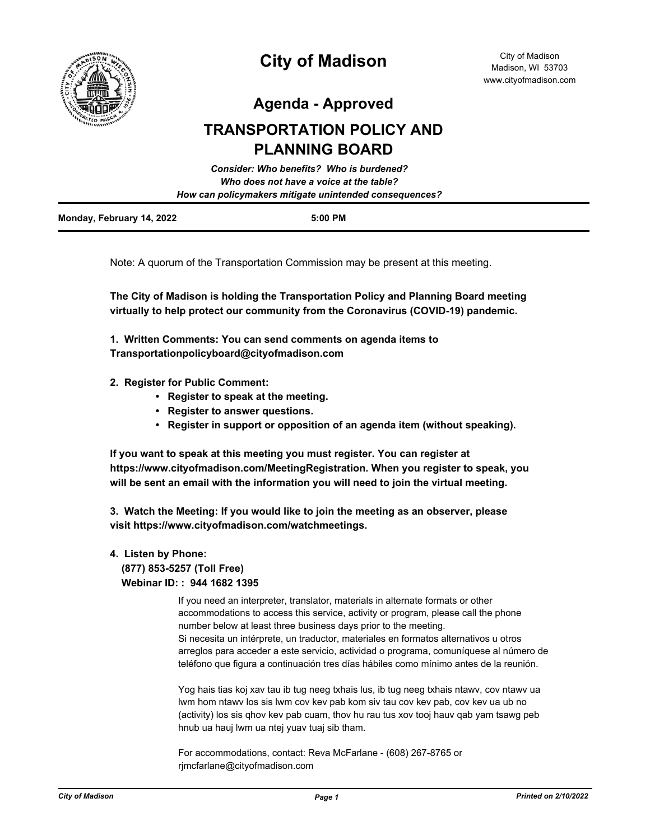

# **City of Madison**

**Agenda - Approved**

## **TRANSPORTATION POLICY AND PLANNING BOARD**

| Consider: Who benefits? Who is burdened?                                                          |  |  |
|---------------------------------------------------------------------------------------------------|--|--|
| Who does not have a voice at the table?<br>How can policymakers mitigate unintended consequences? |  |  |
|                                                                                                   |  |  |

Note: A quorum of the Transportation Commission may be present at this meeting.

**The City of Madison is holding the Transportation Policy and Planning Board meeting virtually to help protect our community from the Coronavirus (COVID-19) pandemic.**

**1. Written Comments: You can send comments on agenda items to Transportationpolicyboard@cityofmadison.com**

- **2. Register for Public Comment:** 
	- **Register to speak at the meeting.**
	- **Register to answer questions.**
	- **Register in support or opposition of an agenda item (without speaking).**

**If you want to speak at this meeting you must register. You can register at https://www.cityofmadison.com/MeetingRegistration. When you register to speak, you will be sent an email with the information you will need to join the virtual meeting.**

**3. Watch the Meeting: If you would like to join the meeting as an observer, please visit https://www.cityofmadison.com/watchmeetings.**

### **4. Listen by Phone: (877) 853-5257 (Toll Free)**

 **Webinar ID: : 944 1682 1395**

If you need an interpreter, translator, materials in alternate formats or other accommodations to access this service, activity or program, please call the phone number below at least three business days prior to the meeting. Si necesita un intérprete, un traductor, materiales en formatos alternativos u otros arreglos para acceder a este servicio, actividad o programa, comuníquese al número de teléfono que figura a continuación tres días hábiles como mínimo antes de la reunión.

Yog hais tias koj xav tau ib tug neeg txhais lus, ib tug neeg txhais ntawv, cov ntawv ua lwm hom ntawv los sis lwm cov kev pab kom siv tau cov kev pab, cov kev ua ub no (activity) los sis qhov kev pab cuam, thov hu rau tus xov tooj hauv qab yam tsawg peb hnub ua hauj lwm ua ntej yuav tuaj sib tham.

For accommodations, contact: Reva McFarlane - (608) 267-8765 or rjmcfarlane@cityofmadison.com